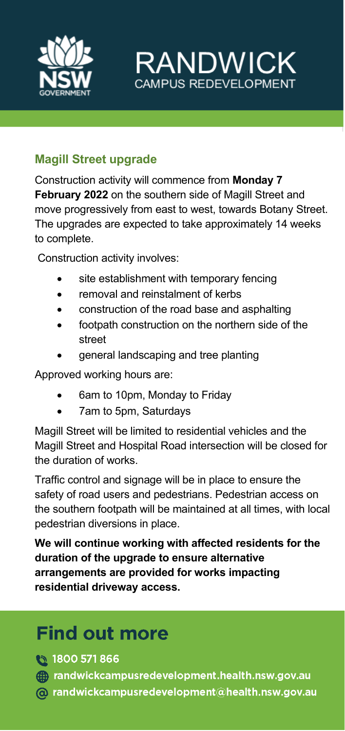

**RANDWICK** CAMPUS REDEVELOPMENT

## **Magill Street upgrade**

Construction activity will commence from **Monday 7 February 2022** on the southern side of Magill Street and move progressively from east to west, towards Botany Street. The upgrades are expected to take approximately 14 weeks to complete.

Construction activity involves:

- site establishment with temporary fencing
- removal and reinstalment of kerbs
- construction of the road base and asphalting
- footpath construction on the northern side of the street
- general landscaping and tree planting

Approved working hours are:

- 6am to 10pm, Monday to Friday
- 7am to 5pm, Saturdays

Magill Street will be limited to residential vehicles and the Magill Street and Hospital Road intersection will be closed for the duration of works.

Traffic control and signage will be in place to ensure the safety of road users and pedestrians. Pedestrian access on the southern footpath will be maintained at all times, with local pedestrian diversions in place.

**We will continue working with affected residents for the duration of the upgrade to ensure alternative arrangements are provided for works impacting residential driveway access.**

## **Find out more**

€ 1800 571 866

- mandwickcampusredevelopment.health.nsw.gov.au
- @ randwickcampusredevelopment@health.nsw.gov.au